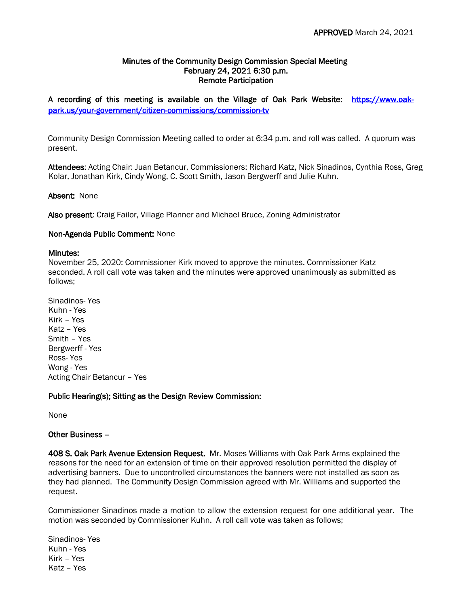## Minutes of the Community Design Commission Special Meeting February 24, 2021 6:30 p.m. Remote Participation

A recording of this meeting is available on the Village of Oak Park Website: [https://www.oak](https://www.oak-park.us/your-government/citizen-commissions/commission-tv)[park.us/your-government/citizen-commissions/commission-tv](https://www.oak-park.us/your-government/citizen-commissions/commission-tv) 

Community Design Commission Meeting called to order at 6:34 p.m. and roll was called. A quorum was present.

Attendees: Acting Chair: Juan Betancur, Commissioners: Richard Katz, Nick Sinadinos, Cynthia Ross, Greg Kolar, Jonathan Kirk, Cindy Wong, C. Scott Smith, Jason Bergwerff and Julie Kuhn.

## Absent: None

Also present: Craig Failor, Village Planner and Michael Bruce, Zoning Administrator

## Non-Agenda Public Comment: None

#### Minutes:

November 25, 2020: Commissioner Kirk moved to approve the minutes. Commissioner Katz seconded. A roll call vote was taken and the minutes were approved unanimously as submitted as follows;

Sinadinos- Yes Kuhn - Yes Kirk – Yes Katz – Yes Smith – Yes Bergwerff - Yes Ross- Yes Wong - Yes Acting Chair Betancur – Yes

## Public Hearing(s); Sitting as the Design Review Commission:

None

## Other Business –

408 S. Oak Park Avenue Extension Request. Mr. Moses Williams with Oak Park Arms explained the reasons for the need for an extension of time on their approved resolution permitted the display of advertising banners. Due to uncontrolled circumstances the banners were not installed as soon as they had planned. The Community Design Commission agreed with Mr. Williams and supported the request.

Commissioner Sinadinos made a motion to allow the extension request for one additional year. The motion was seconded by Commissioner Kuhn. A roll call vote was taken as follows;

Sinadinos- Yes Kuhn - Yes Kirk – Yes Katz – Yes